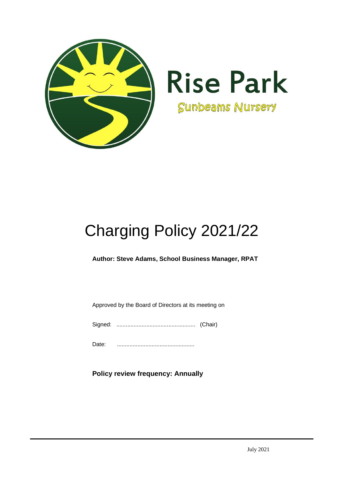

# Charging Policy 2021/22

**Author: Steve Adams, School Business Manager, RPAT**

Approved by the Board of Directors at its meeting on

Signed: .................................................. (Chair)

Date: .................................................

**Policy review frequency: Annually**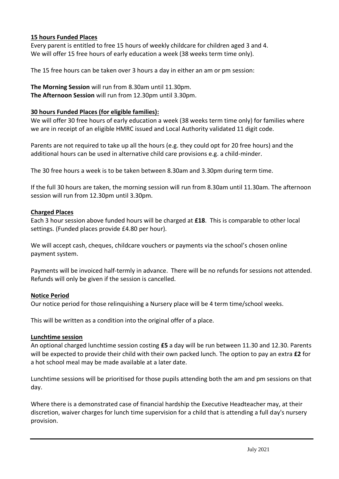## **15 hours Funded Places**

Every parent is entitled to free 15 hours of weekly childcare for children aged 3 and 4. We will offer 15 free hours of early education a week (38 weeks term time only).

The 15 free hours can be taken over 3 hours a day in either an am or pm session:

**The Morning Session** will run from 8.30am until 11.30pm. **The Afternoon Session** will run from 12.30pm until 3.30pm.

#### **30 hours Funded Places (for eligible families):**

We will offer 30 free hours of early education a week (38 weeks term time only) for families where we are in receipt of an eligible HMRC issued and Local Authority validated 11 digit code.

Parents are not required to take up all the hours (e.g. they could opt for 20 free hours) and the additional hours can be used in alternative child care provisions e.g. a child-minder.

The 30 free hours a week is to be taken between 8.30am and 3.30pm during term time.

If the full 30 hours are taken, the morning session will run from 8.30am until 11.30am. The afternoon session will run from 12.30pm until 3.30pm.

#### **Charged Places**

Each 3 hour session above funded hours will be charged at **£18**. This is comparable to other local settings. (Funded places provide £4.80 per hour).

We will accept cash, cheques, childcare vouchers or payments via the school's chosen online payment system.

Payments will be invoiced half-termly in advance. There will be no refunds for sessions not attended. Refunds will only be given if the session is cancelled.

## **Notice Period**

Our notice period for those relinquishing a Nursery place will be 4 term time/school weeks.

This will be written as a condition into the original offer of a place.

#### **Lunchtime session**

An optional charged lunchtime session costing **£5** a day will be run between 11.30 and 12.30. Parents will be expected to provide their child with their own packed lunch. The option to pay an extra **£2** for a hot school meal may be made available at a later date.

Lunchtime sessions will be prioritised for those pupils attending both the am and pm sessions on that day.

Where there is a demonstrated case of financial hardship the Executive Headteacher may, at their discretion, waiver charges for lunch time supervision for a child that is attending a full day's nursery provision.